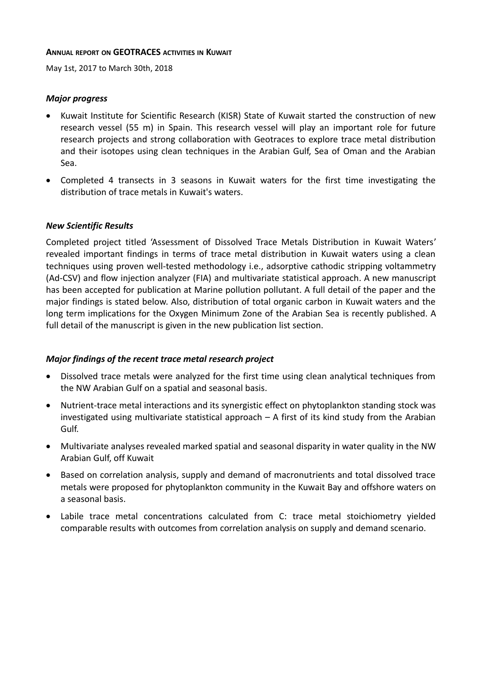#### **ANNUAL REPORT ON GEOTRACES ACTIVITIES IN KUWAIT**

May 1st, 2017 to March 30th, 2018

#### *Major progress*

- Kuwait Institute for Scientific Research (KISR) State of Kuwait started the construction of new research vessel (55 m) in Spain. This research vessel will play an important role for future research projects and strong collaboration with Geotraces to explore trace metal distribution and their isotopes using clean techniques in the Arabian Gulf, Sea of Oman and the Arabian Sea.
- Completed 4 transects in 3 seasons in Kuwait waters for the first time investigating the distribution of trace metals in Kuwait's waters.

### *New Scientific Results*

Completed project titled 'Assessment of Dissolved Trace Metals Distribution in Kuwait Waters' revealed important findings in terms of trace metal distribution in Kuwait waters using a clean techniques using proven well-tested methodology i.e., adsorptive cathodic stripping voltammetry (Ad-CSV) and flow injection analyzer (FIA) and multivariate statistical approach. A new manuscript has been accepted for publication at Marine pollution pollutant. A full detail of the paper and the major findings is stated below. Also, distribution of total organic carbon in Kuwait waters and the long term implications for the Oxygen Minimum Zone of the Arabian Sea is recently published. A full detail of the manuscript is given in the new publication list section.

## *Major findings of the recent trace metal research project*

- Dissolved trace metals were analyzed for the first time using clean analytical techniques from the NW Arabian Gulf on a spatial and seasonal basis.
- Nutrient-trace metal interactions and its synergistic effect on phytoplankton standing stock was investigated using multivariate statistical approach – A first of its kind study from the Arabian Gulf.
- Multivariate analyses revealed marked spatial and seasonal disparity in water quality in the NW Arabian Gulf, off Kuwait
- Based on correlation analysis, supply and demand of macronutrients and total dissolved trace metals were proposed for phytoplankton community in the Kuwait Bay and offshore waters on a seasonal basis.
- Labile trace metal concentrations calculated from C: trace metal stoichiometry yielded comparable results with outcomes from correlation analysis on supply and demand scenario.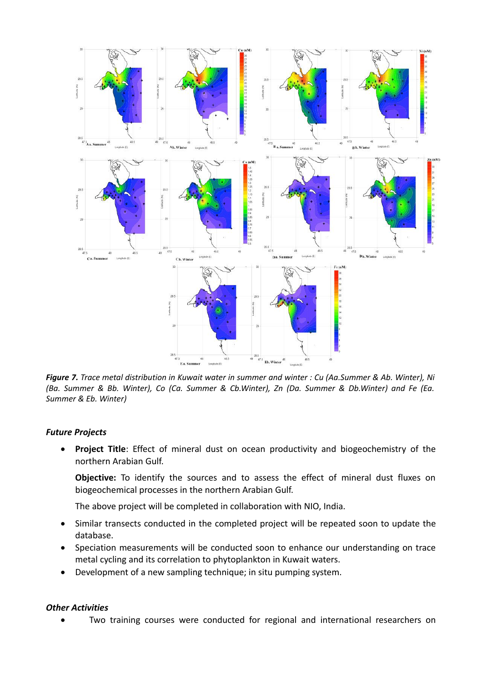

*Figure 7. Trace metal distribution in Kuwait water in summer and winter : Cu (Aa.Summer & Ab. Winter), Ni (Ba. Summer & Bb. Winter), Co (Ca. Summer & Cb.Winter), Zn (Da. Summer & Db.Winter) and Fe (Ea. Summer & Eb. Winter)*

## *Future Projects*

 **Project Title**: Effect of mineral dust on ocean productivity and biogeochemistry of the northern Arabian Gulf.

**Objective:** To identify the sources and to assess the effect of mineral dust fluxes on biogeochemical processes in the northern Arabian Gulf.

The above project will be completed in collaboration with NIO, India.

- Similar transects conducted in the completed project will be repeated soon to update the database.
- Speciation measurements will be conducted soon to enhance our understanding on trace metal cycling and its correlation to phytoplankton in Kuwait waters.
- Development of a new sampling technique; in situ pumping system.

#### *Other Activities*

Two training courses were conducted for regional and international researchers on